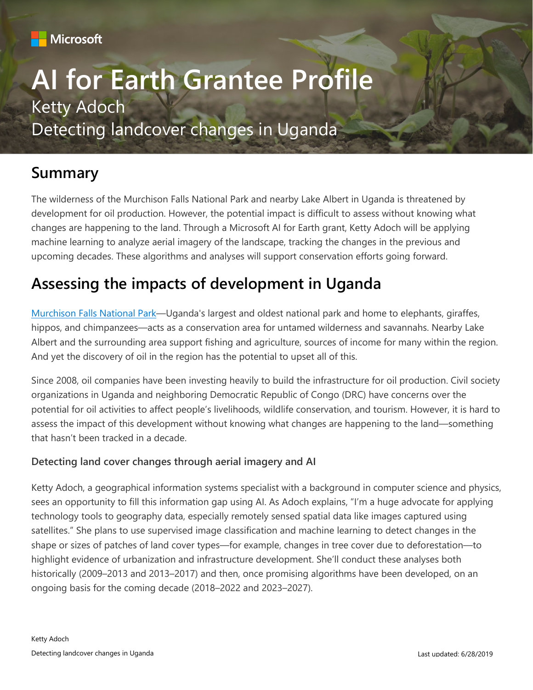

# **AI for Earth Grantee Profile** Ketty Adoch Detecting landcover changes in Uganda

## **Summary**

The wilderness of the Murchison Falls National Park and nearby Lake Albert in Uganda is threatened by development for oil production. However, the potential impact is difficult to assess without knowing what changes are happening to the land. Through a Microsoft AI for Earth grant, Ketty Adoch will be applying machine learning to analyze aerial imagery of the landscape, tracking the changes in the previous and upcoming decades. These algorithms and analyses will support conservation efforts going forward.

# **Assessing the impacts of development in Uganda**

[Murchison Falls National Park](https://www.murchisonfallsnationalpark.com/)—Uganda's largest and oldest national park and home to elephants, giraffes, hippos, and chimpanzees—acts as a conservation area for untamed wilderness and savannahs. Nearby Lake Albert and the surrounding area support fishing and agriculture, sources of income for many within the region. And yet the discovery of oil in the region has the potential to upset all of this.

Since 2008, oil companies have been investing heavily to build the infrastructure for oil production. Civil society organizations in Uganda and neighboring Democratic Republic of Congo (DRC) have concerns over the potential for oil activities to affect people's livelihoods, wildlife conservation, and tourism. However, it is hard to assess the impact of this development without knowing what changes are happening to the land—something that hasn't been tracked in a decade.

#### **Detecting land cover changes through aerial imagery and AI**

Ketty Adoch, a geographical information systems specialist with a background in computer science and physics, sees an opportunity to fill this information gap using AI. As Adoch explains, "I'm a huge advocate for applying technology tools to geography data, especially remotely sensed spatial data like images captured using satellites." She plans to use supervised image classification and machine learning to detect changes in the shape or sizes of patches of land cover types—for example, changes in tree cover due to deforestation—to highlight evidence of urbanization and infrastructure development. She'll conduct these analyses both historically (2009–2013 and 2013–2017) and then, once promising algorithms have been developed, on an ongoing basis for the coming decade (2018–2022 and 2023–2027).